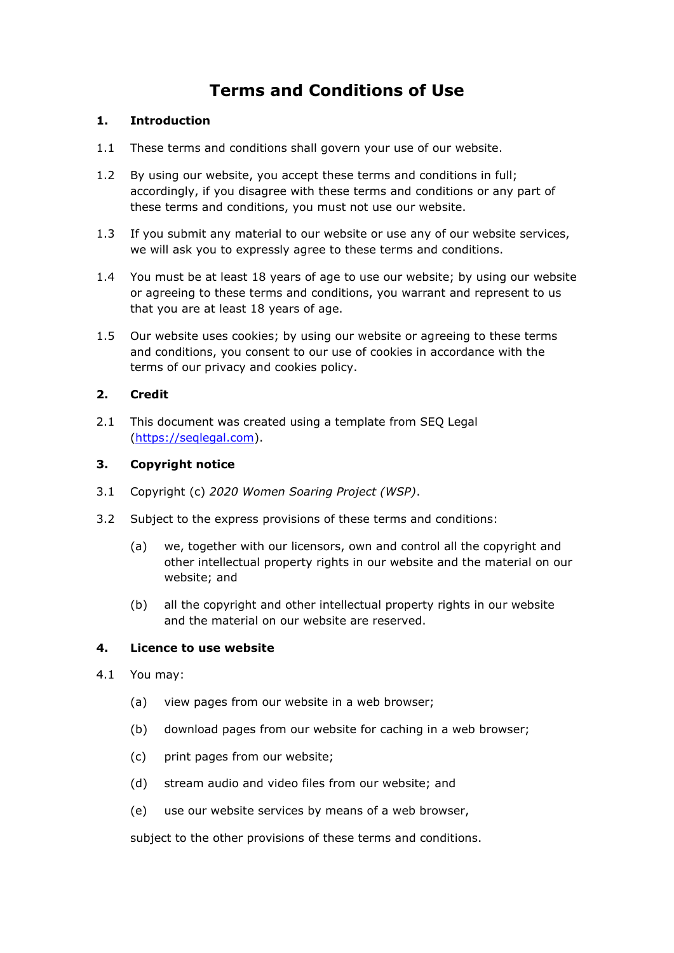# **Terms and Conditions of Use**

# **1. Introduction**

- 1.1 These terms and conditions shall govern your use of our website.
- 1.2 By using our website, you accept these terms and conditions in full; accordingly, if you disagree with these terms and conditions or any part of these terms and conditions, you must not use our website.
- 1.3 If you submit any material to our website or use any of our website services, we will ask you to expressly agree to these terms and conditions.
- 1.4 You must be at least 18 years of age to use our website; by using our website or agreeing to these terms and conditions, you warrant and represent to us that you are at least 18 years of age.
- 1.5 Our website uses cookies; by using our website or agreeing to these terms and conditions, you consent to our use of cookies in accordance with the terms of our privacy and cookies policy.

# **2. Credit**

2.1 This document was created using a template from SEQ Legal [\(https://seqlegal.com\)](https://seqlegal.com/).

# **3. Copyright notice**

- 3.1 Copyright (c) *2020 Women Soaring Project (WSP)*.
- 3.2 Subject to the express provisions of these terms and conditions:
	- (a) we, together with our licensors, own and control all the copyright and other intellectual property rights in our website and the material on our website; and
	- (b) all the copyright and other intellectual property rights in our website and the material on our website are reserved.

## **4. Licence to use website**

- 4.1 You may:
	- (a) view pages from our website in a web browser;
	- (b) download pages from our website for caching in a web browser;
	- (c) print pages from our website;
	- (d) stream audio and video files from our website; and
	- (e) use our website services by means of a web browser,

subject to the other provisions of these terms and conditions.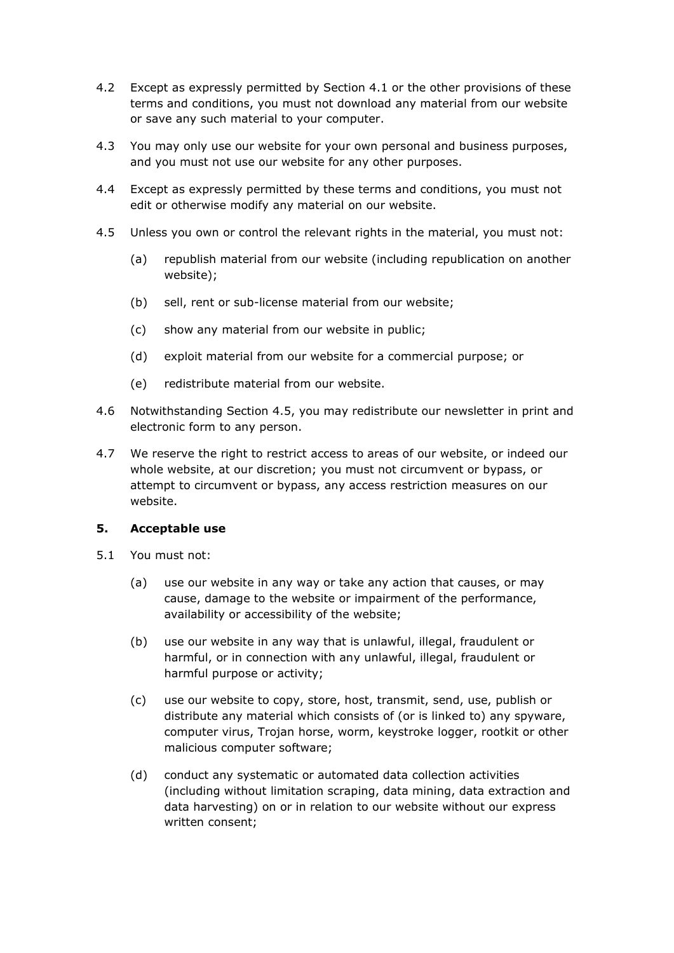- 4.2 Except as expressly permitted by Section 4.1 or the other provisions of these terms and conditions, you must not download any material from our website or save any such material to your computer.
- 4.3 You may only use our website for your own personal and business purposes, and you must not use our website for any other purposes.
- 4.4 Except as expressly permitted by these terms and conditions, you must not edit or otherwise modify any material on our website.
- 4.5 Unless you own or control the relevant rights in the material, you must not:
	- (a) republish material from our website (including republication on another website);
	- (b) sell, rent or sub-license material from our website;
	- (c) show any material from our website in public;
	- (d) exploit material from our website for a commercial purpose; or
	- (e) redistribute material from our website.
- 4.6 Notwithstanding Section 4.5, you may redistribute our newsletter in print and electronic form to any person.
- 4.7 We reserve the right to restrict access to areas of our website, or indeed our whole website, at our discretion; you must not circumvent or bypass, or attempt to circumvent or bypass, any access restriction measures on our website.

#### **5. Acceptable use**

- 5.1 You must not:
	- (a) use our website in any way or take any action that causes, or may cause, damage to the website or impairment of the performance, availability or accessibility of the website;
	- (b) use our website in any way that is unlawful, illegal, fraudulent or harmful, or in connection with any unlawful, illegal, fraudulent or harmful purpose or activity;
	- (c) use our website to copy, store, host, transmit, send, use, publish or distribute any material which consists of (or is linked to) any spyware, computer virus, Trojan horse, worm, keystroke logger, rootkit or other malicious computer software;
	- (d) conduct any systematic or automated data collection activities (including without limitation scraping, data mining, data extraction and data harvesting) on or in relation to our website without our express written consent;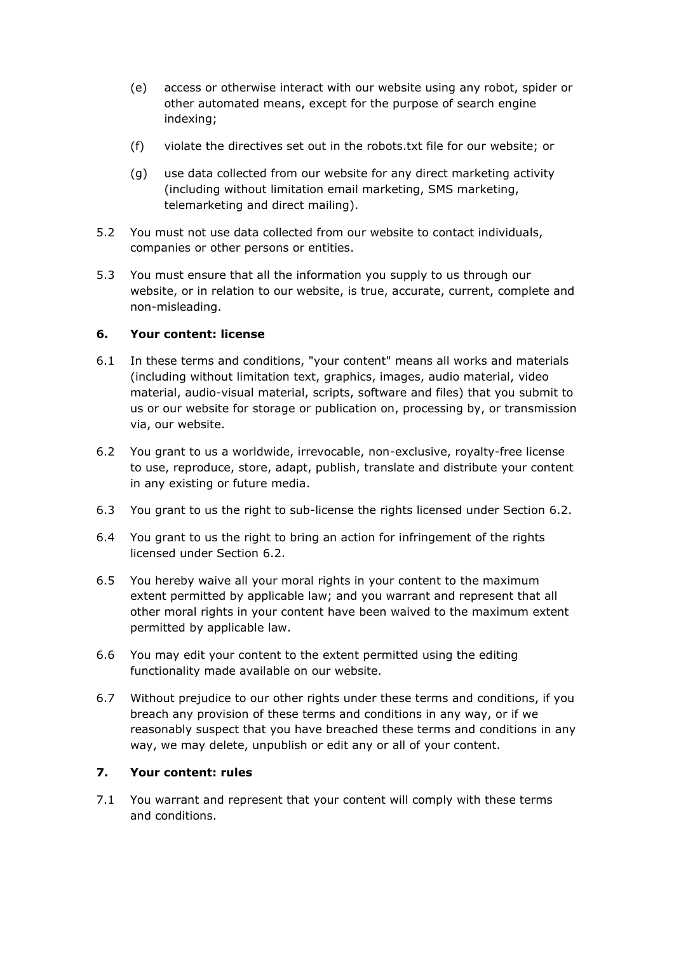- (e) access or otherwise interact with our website using any robot, spider or other automated means, except for the purpose of search engine indexing;
- (f) violate the directives set out in the robots.txt file for our website; or
- (g) use data collected from our website for any direct marketing activity (including without limitation email marketing, SMS marketing, telemarketing and direct mailing).
- 5.2 You must not use data collected from our website to contact individuals, companies or other persons or entities.
- 5.3 You must ensure that all the information you supply to us through our website, or in relation to our website, is true, accurate, current, complete and non-misleading.

## **6. Your content: license**

- 6.1 In these terms and conditions, "your content" means all works and materials (including without limitation text, graphics, images, audio material, video material, audio-visual material, scripts, software and files) that you submit to us or our website for storage or publication on, processing by, or transmission via, our website.
- 6.2 You grant to us a worldwide, irrevocable, non-exclusive, royalty-free license to use, reproduce, store, adapt, publish, translate and distribute your content in any existing or future media.
- 6.3 You grant to us the right to sub-license the rights licensed under Section 6.2.
- 6.4 You grant to us the right to bring an action for infringement of the rights licensed under Section 6.2.
- 6.5 You hereby waive all your moral rights in your content to the maximum extent permitted by applicable law; and you warrant and represent that all other moral rights in your content have been waived to the maximum extent permitted by applicable law.
- 6.6 You may edit your content to the extent permitted using the editing functionality made available on our website.
- 6.7 Without prejudice to our other rights under these terms and conditions, if you breach any provision of these terms and conditions in any way, or if we reasonably suspect that you have breached these terms and conditions in any way, we may delete, unpublish or edit any or all of your content.

## **7. Your content: rules**

7.1 You warrant and represent that your content will comply with these terms and conditions.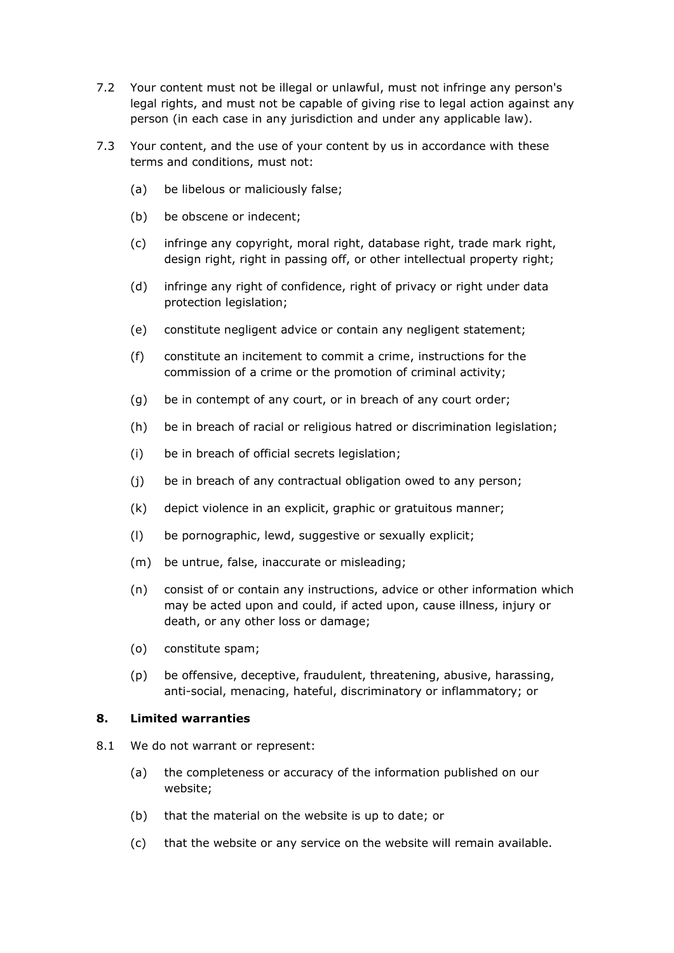- 7.2 Your content must not be illegal or unlawful, must not infringe any person's legal rights, and must not be capable of giving rise to legal action against any person (in each case in any jurisdiction and under any applicable law).
- 7.3 Your content, and the use of your content by us in accordance with these terms and conditions, must not:
	- (a) be libelous or maliciously false;
	- (b) be obscene or indecent;
	- (c) infringe any copyright, moral right, database right, trade mark right, design right, right in passing off, or other intellectual property right;
	- (d) infringe any right of confidence, right of privacy or right under data protection legislation;
	- (e) constitute negligent advice or contain any negligent statement;
	- (f) constitute an incitement to commit a crime, instructions for the commission of a crime or the promotion of criminal activity;
	- (g) be in contempt of any court, or in breach of any court order;
	- (h) be in breach of racial or religious hatred or discrimination legislation;
	- (i) be in breach of official secrets legislation;
	- (j) be in breach of any contractual obligation owed to any person;
	- (k) depict violence in an explicit, graphic or gratuitous manner;
	- (l) be pornographic, lewd, suggestive or sexually explicit;
	- (m) be untrue, false, inaccurate or misleading;
	- (n) consist of or contain any instructions, advice or other information which may be acted upon and could, if acted upon, cause illness, injury or death, or any other loss or damage;
	- (o) constitute spam;
	- (p) be offensive, deceptive, fraudulent, threatening, abusive, harassing, anti-social, menacing, hateful, discriminatory or inflammatory; or

#### **8. Limited warranties**

- 8.1 We do not warrant or represent:
	- (a) the completeness or accuracy of the information published on our website;
	- (b) that the material on the website is up to date; or
	- (c) that the website or any service on the website will remain available.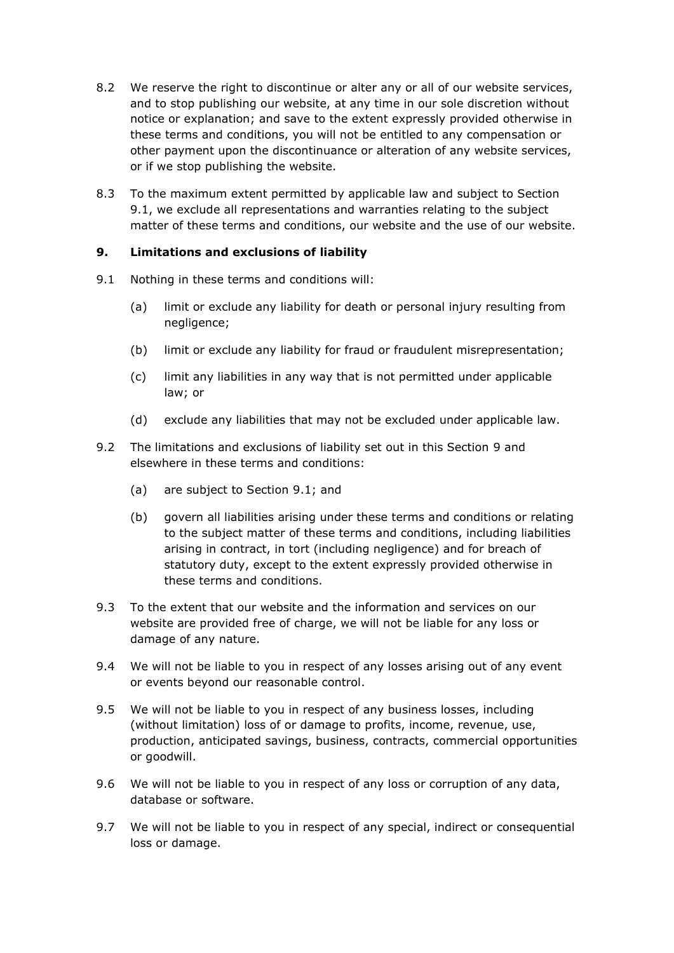- 8.2 We reserve the right to discontinue or alter any or all of our website services, and to stop publishing our website, at any time in our sole discretion without notice or explanation; and save to the extent expressly provided otherwise in these terms and conditions, you will not be entitled to any compensation or other payment upon the discontinuance or alteration of any website services, or if we stop publishing the website.
- 8.3 To the maximum extent permitted by applicable law and subject to Section 9.1, we exclude all representations and warranties relating to the subject matter of these terms and conditions, our website and the use of our website.

## **9. Limitations and exclusions of liability**

- 9.1 Nothing in these terms and conditions will:
	- (a) limit or exclude any liability for death or personal injury resulting from negligence;
	- (b) limit or exclude any liability for fraud or fraudulent misrepresentation;
	- (c) limit any liabilities in any way that is not permitted under applicable law; or
	- (d) exclude any liabilities that may not be excluded under applicable law.
- 9.2 The limitations and exclusions of liability set out in this Section 9 and elsewhere in these terms and conditions:
	- (a) are subject to Section 9.1; and
	- (b) govern all liabilities arising under these terms and conditions or relating to the subject matter of these terms and conditions, including liabilities arising in contract, in tort (including negligence) and for breach of statutory duty, except to the extent expressly provided otherwise in these terms and conditions.
- 9.3 To the extent that our website and the information and services on our website are provided free of charge, we will not be liable for any loss or damage of any nature.
- 9.4 We will not be liable to you in respect of any losses arising out of any event or events beyond our reasonable control.
- 9.5 We will not be liable to you in respect of any business losses, including (without limitation) loss of or damage to profits, income, revenue, use, production, anticipated savings, business, contracts, commercial opportunities or goodwill.
- 9.6 We will not be liable to you in respect of any loss or corruption of any data, database or software.
- 9.7 We will not be liable to you in respect of any special, indirect or consequential loss or damage.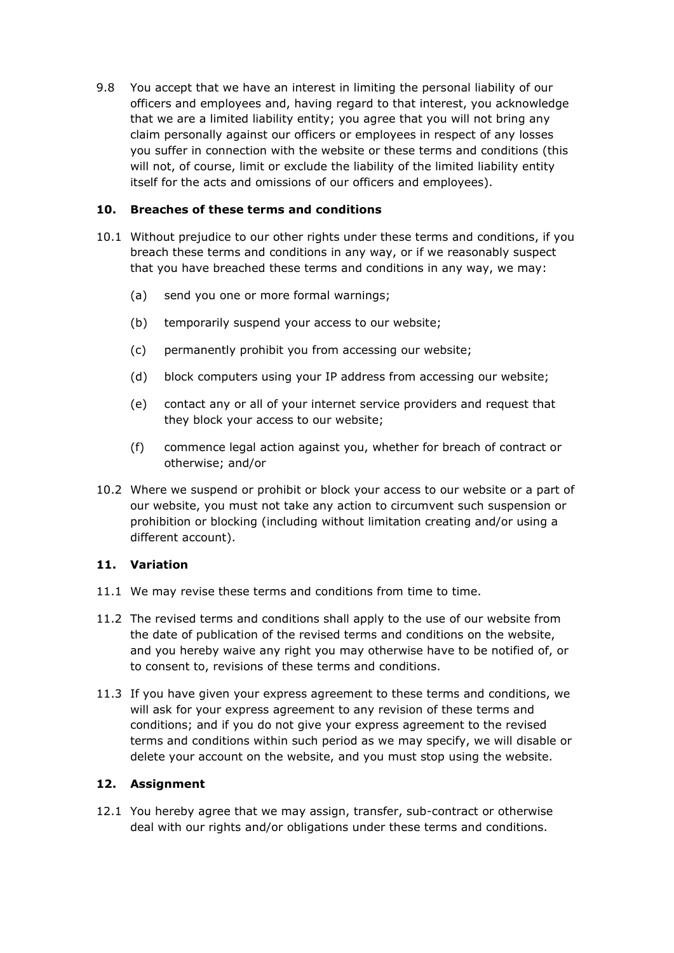9.8 You accept that we have an interest in limiting the personal liability of our officers and employees and, having regard to that interest, you acknowledge that we are a limited liability entity; you agree that you will not bring any claim personally against our officers or employees in respect of any losses you suffer in connection with the website or these terms and conditions (this will not, of course, limit or exclude the liability of the limited liability entity itself for the acts and omissions of our officers and employees).

# **10. Breaches of these terms and conditions**

- 10.1 Without prejudice to our other rights under these terms and conditions, if you breach these terms and conditions in any way, or if we reasonably suspect that you have breached these terms and conditions in any way, we may:
	- (a) send you one or more formal warnings;
	- (b) temporarily suspend your access to our website;
	- (c) permanently prohibit you from accessing our website;
	- (d) block computers using your IP address from accessing our website;
	- (e) contact any or all of your internet service providers and request that they block your access to our website;
	- (f) commence legal action against you, whether for breach of contract or otherwise; and/or
- 10.2 Where we suspend or prohibit or block your access to our website or a part of our website, you must not take any action to circumvent such suspension or prohibition or blocking (including without limitation creating and/or using a different account).

## **11. Variation**

- 11.1 We may revise these terms and conditions from time to time.
- 11.2 The revised terms and conditions shall apply to the use of our website from the date of publication of the revised terms and conditions on the website, and you hereby waive any right you may otherwise have to be notified of, or to consent to, revisions of these terms and conditions.
- 11.3 If you have given your express agreement to these terms and conditions, we will ask for your express agreement to any revision of these terms and conditions; and if you do not give your express agreement to the revised terms and conditions within such period as we may specify, we will disable or delete your account on the website, and you must stop using the website.

## **12. Assignment**

12.1 You hereby agree that we may assign, transfer, sub-contract or otherwise deal with our rights and/or obligations under these terms and conditions.